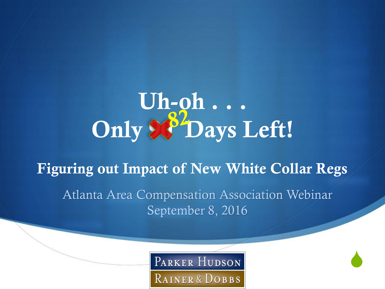# **Uh-oh . . . Only 90 Days Left!**

## **Figuring out Impact of New White Collar Regs** Atlanta Area Compensation Association Webinar September 8, 2016

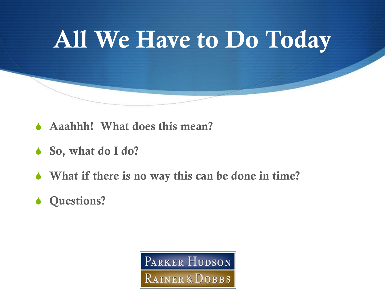# **All We Have to Do Today**

- **Aaahhh!** What does this mean?
- **↓** So, what do I do?
- $\bullet$  What if there is no way this can be done in time?
- **S Questions?**

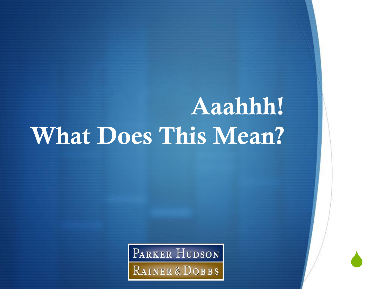# **Aaahhh! What Does This Mean?**

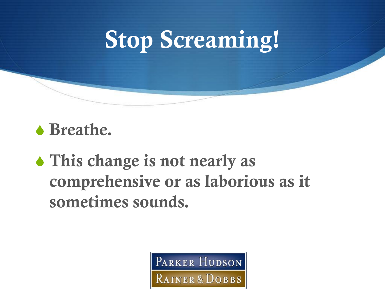# **Stop Screaming!**

#### b Breathe.

**S** This change is not nearly as **comprehensive or as laborious as it sometimes sounds.**

> PARKER HUDSON RAINER & DOBBS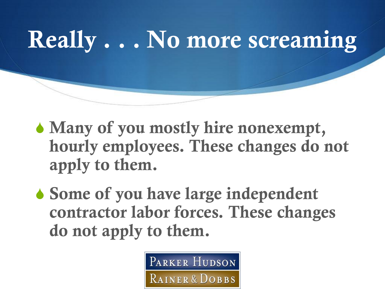**Really . . . No more screaming**

- Many of you mostly hire nonexempt, **hourly employees. These changes do not apply to them.**
- **↓ Some of you have large independent contractor labor forces. These changes do not apply to them.**

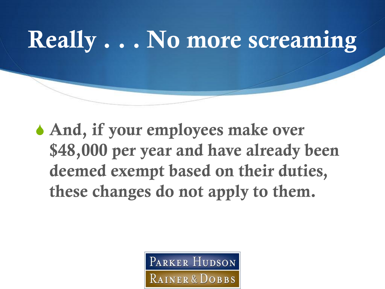

 $\bullet$  And, if your employees make over **\$48,000 per year and have already been deemed exempt based on their duties, these changes do not apply to them.**

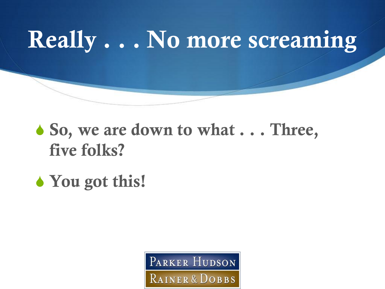

## • So, we are down to what  $\ldots$  Three, **five folks?**

## • You got this!

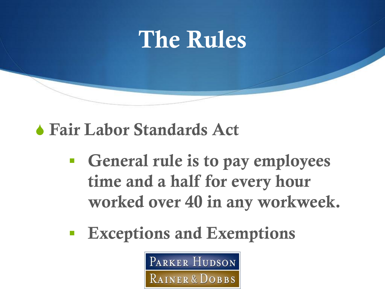

S **Fair Labor Standards Act**

- **General rule is to pay employees time and a half for every hour worked over 40 in any workweek.**
- **Exceptions and Exemptions**

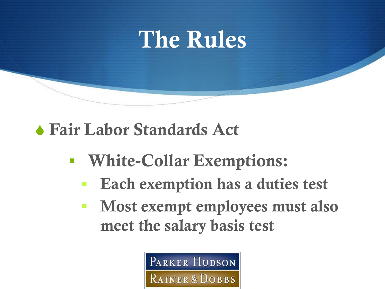

S **Fair Labor Standards Act**

- **White-Collar Exemptions:** 
	- **Each exemption has a duties test**
	- **Most exempt employees must also meet the salary basis test**

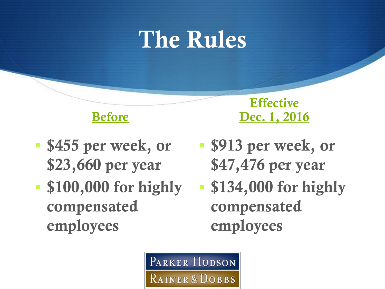# **The Rules**



- $\bullet$  **\$455 per week, or \$23,660 per year**
- **\$100,000 for highly compensated employees**

**Effective Dec. 1, 2016**

- $\bullet$  **\$913 per week, or \$47,476 per year**
- **\$134,000 for highly compensated employees**

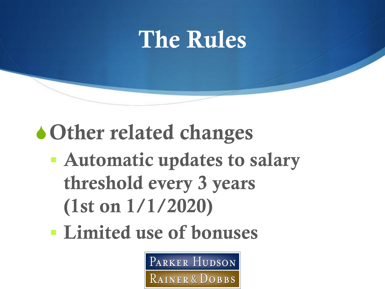## **The Rules**

## **SOther related changes**

- **Automatic updates to salary threshold every 3 years (1st on 1/1/2020)**
- **Limited use of bonuses**

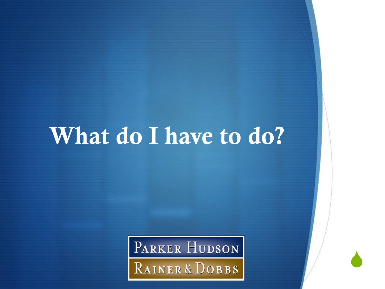PARKER HUDSON RAINER & DOBBS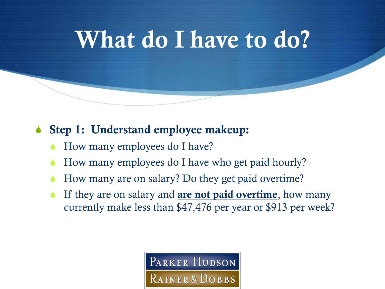#### **↓ Step 1: Understand employee makeup:**

- How many employees do I have?
- How many employees do I have who get paid hourly?
- How many are on salary? Do they get paid overtime?
- If they are on salary and **are not paid overtime**, how many currently make less than \$47,476 per year or \$913 per week?

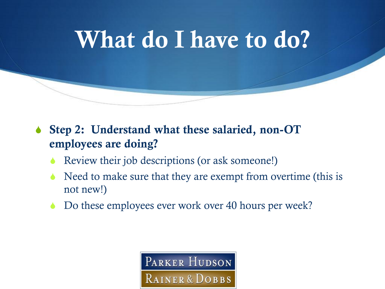

- **↓ Step 2: Understand what these salaried, non-OT employees are doing?**
	- Review their job descriptions (or ask someone!)
	- Need to make sure that they are exempt from overtime (this is not new!)
	- Do these employees ever work over 40 hours per week?

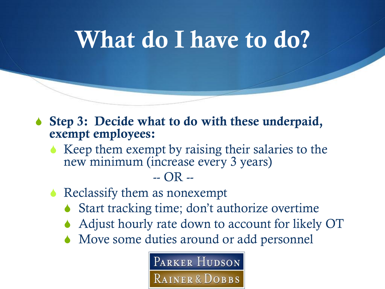- ◆ Step 3: Decide what to do with these underpaid, **exempt employees:**
	- $\triangle$  Keep them exempt by raising their salaries to the new minimum (increase every 3 years)

#### -- OR --

- $\triangle$  Reclassify them as nonexempt
	- $\bullet$  Start tracking time; don't authorize overtime
	- Adjust hourly rate down to account for likely OT
	- $\triangle$  Move some duties around or add personnel

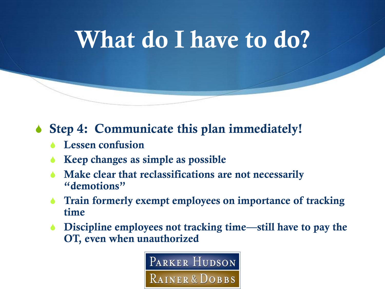**↓ Step 4: Communicate this plan immediately!** 

- **S** Lessen confusion
- Keep changes as simple as possible
- Make clear that reclassifications are not necessarily **"demotions"**
- Train formerly exempt employees on importance of tracking **time**
- **Discipline employees not tracking time—still have to pay the OT, even when unauthorized**

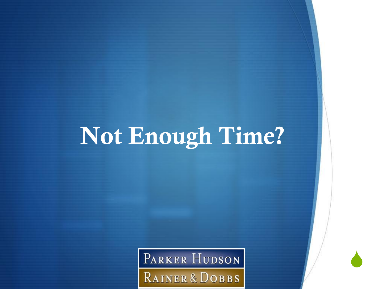# **Not Enough Time?**

PARKER HUDSON RAINER & DOBBS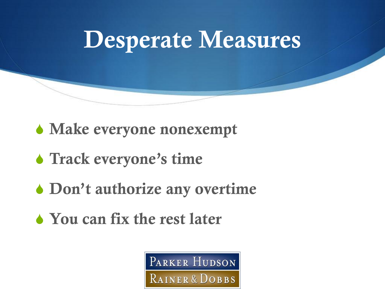

**S** Make everyone nonexempt

- **S** Track everyone's time
- **S** Don't authorize any overtime
- S **You can fix the rest later**

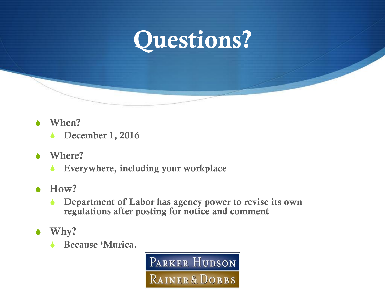

- **When?** 
	- **b** December 1, 2016
- **Where?** 
	- **SEXECUTE: Everywhere, including your workplace**
- $\triangle$  **How?** 
	- **SEP Department of Labor has agency power to revise its own regulations after posting for notice and comment**
- $\bullet$  Why?
	- **b** Because 'Murica.